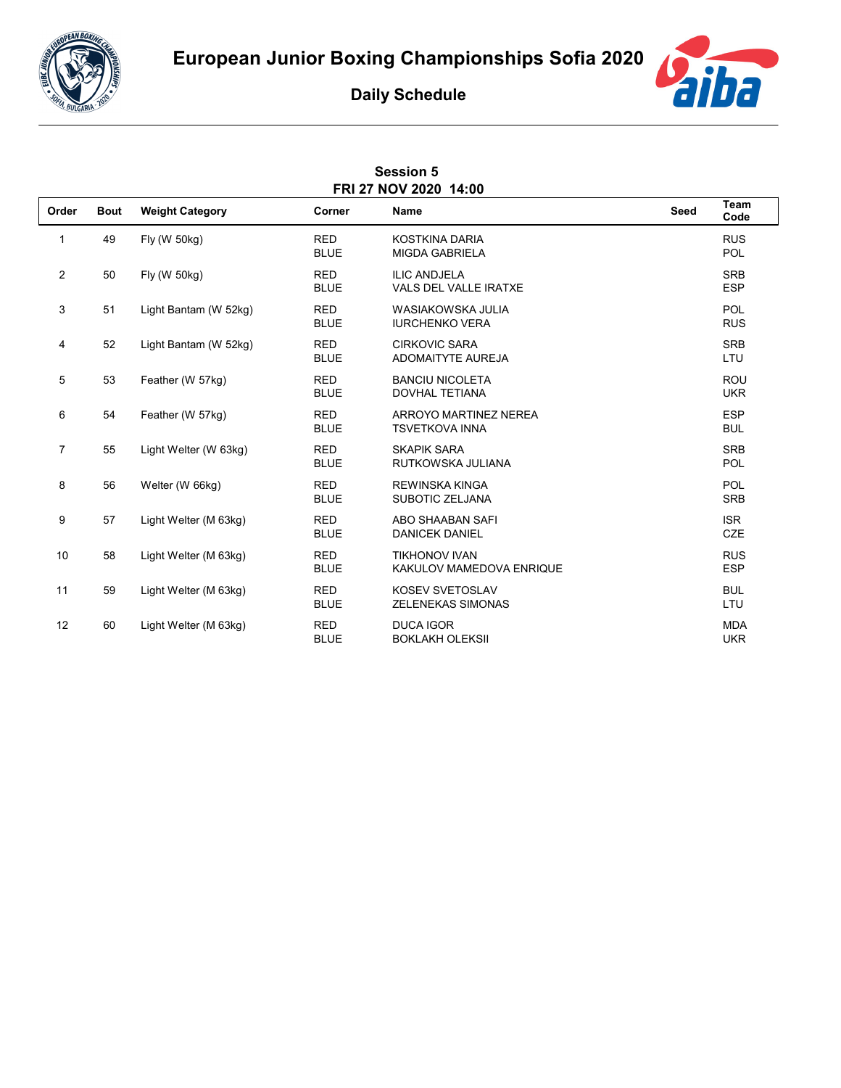



## **Daily Schedule**

| <b>Session 5</b><br>FRI 27 NOV 2020 14:00 |             |                        |                           |                                                     |      |                          |  |  |  |
|-------------------------------------------|-------------|------------------------|---------------------------|-----------------------------------------------------|------|--------------------------|--|--|--|
| Order                                     | <b>Bout</b> | <b>Weight Category</b> | Corner                    | <b>Name</b>                                         | Seed | Team<br>Code             |  |  |  |
| 1                                         | 49          | Fly (W 50kg)           | <b>RED</b><br><b>BLUE</b> | <b>KOSTKINA DARIA</b><br><b>MIGDA GABRIELA</b>      |      | <b>RUS</b><br>POL        |  |  |  |
| $\mathbf{2}$                              | 50          | Fly (W 50kg)           | <b>RED</b><br><b>BLUE</b> | <b>ILIC ANDJELA</b><br><b>VALS DEL VALLE IRATXE</b> |      | <b>SRB</b><br><b>ESP</b> |  |  |  |
| 3                                         | 51          | Light Bantam (W 52kg)  | <b>RED</b><br><b>BLUE</b> | <b>WASIAKOWSKA JULIA</b><br><b>IURCHENKO VERA</b>   |      | POL<br><b>RUS</b>        |  |  |  |
| 4                                         | 52          | Light Bantam (W 52kg)  | <b>RED</b><br><b>BLUE</b> | <b>CIRKOVIC SARA</b><br><b>ADOMAITYTE AUREJA</b>    |      | <b>SRB</b><br>LTU        |  |  |  |
| 5                                         | 53          | Feather (W 57kg)       | <b>RED</b><br><b>BLUE</b> | <b>BANCIU NICOLETA</b><br><b>DOVHAL TETIANA</b>     |      | <b>ROU</b><br><b>UKR</b> |  |  |  |
| 6                                         | 54          | Feather (W 57kg)       | <b>RED</b><br><b>BLUE</b> | ARROYO MARTINEZ NEREA<br><b>TSVETKOVA INNA</b>      |      | <b>ESP</b><br><b>BUL</b> |  |  |  |
| $\overline{7}$                            | 55          | Light Welter (W 63kg)  | <b>RED</b><br><b>BLUE</b> | <b>SKAPIK SARA</b><br>RUTKOWSKA JULIANA             |      | <b>SRB</b><br>POL        |  |  |  |
| 8                                         | 56          | Welter (W 66kg)        | <b>RED</b><br><b>BLUE</b> | <b>REWINSKA KINGA</b><br><b>SUBOTIC ZELJANA</b>     |      | POL<br><b>SRB</b>        |  |  |  |
| 9                                         | 57          | Light Welter (M 63kg)  | <b>RED</b><br><b>BLUE</b> | <b>ABO SHAABAN SAFI</b><br><b>DANICEK DANIEL</b>    |      | <b>ISR</b><br>CZE        |  |  |  |
| 10                                        | 58          | Light Welter (M 63kg)  | <b>RED</b><br><b>BLUE</b> | <b>TIKHONOV IVAN</b><br>KAKULOV MAMEDOVA ENRIQUE    |      | <b>RUS</b><br><b>ESP</b> |  |  |  |
| 11                                        | 59          | Light Welter (M 63kg)  | <b>RED</b><br><b>BLUE</b> | <b>KOSEV SVETOSLAV</b><br><b>ZELENEKAS SIMONAS</b>  |      | <b>BUL</b><br>LTU        |  |  |  |
| 12                                        | 60          | Light Welter (M 63kg)  | <b>RED</b><br><b>BLUE</b> | <b>DUCA IGOR</b><br><b>BOKLAKH OLEKSII</b>          |      | <b>MDA</b><br><b>UKR</b> |  |  |  |